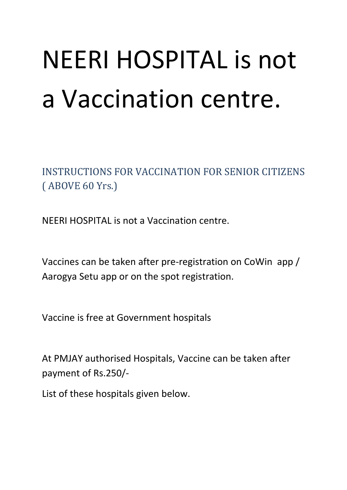## NEERI HOSPITAL is not a Vaccination centre.

INSTRUCTIONS FOR VACCINATION FOR SENIOR CITIZENS ( ABOVE 60 Yrs.)

NEERI HOSPITAL is not a Vaccination centre.

Vaccines can be taken after pre-registration on CoWin app / Aarogya Setu app or on the spot registration.

Vaccine is free at Government hospitals

At PMJAY authorised Hospitals, Vaccine can be taken after payment of Rs.250/-

List of these hospitals given below.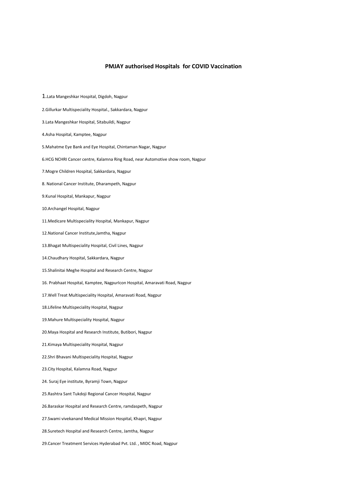## **PMJAY authorised Hospitals for COVID Vaccination**

1.Lata Mangeshkar Hospital, Digdoh, Nagpur 2.Gillurkar Multispeciality Hospital., Sakkardara, Nagpur 3.Lata Mangeshkar Hospital, Sitabuildi, Nagpur 4.Asha Hospital, Kamptee, Nagpur 5.Mahatme Eye Bank and Eye Hospital, Chintaman Nagar, Nagpur 6.HCG NCHRI Cancer centre, Kalamna Ring Road, near Automotive show room, Nagpur 7.Mogre Children Hospital, Sakkardara, Nagpur 8. National Cancer Institute, Dharampeth, Nagpur 9.Kunal Hospital, Mankapur, Nagpur 10.Archangel Hospital, Nagpur 11.Medicare Multispeciality Hospital, Mankapur, Nagpur 12.National Cancer Institute,Jamtha, Nagpur 13.Bhagat Multispeciality Hospital, Civil Lines, Nagpur 14.Chaudhary Hospital, Sakkardara, Nagpur 15.Shalinitai Meghe Hospital and Research Centre, Nagpur 16. Prabhaat Hospital, Kamptee, NagpurIcon Hospital, Amaravati Road, Nagpur 17.Well Treat Multispeciality Hospital, Amaravati Road, Nagpur 18.Lifeline Multispeciality Hospital, Nagpur 19.Mahure Multispeciality Hospital, Nagpur 20.Maya Hospital and Research Institute, Butibori, Nagpur 21.Kimaya Multispeciality Hospital, Nagpur 22.Shri Bhavani Multispeciality Hospital, Nagpur 23.City Hospital, Kalamna Road, Nagpur 24. Suraj Eye institute, Byramji Town, Nagpur 25.Rashtra Sant Tukdoji Regional Cancer Hospital, Nagpur 26.Baraskar Hospital and Research Centre, ramdaspeth, Nagpur 27.Swami vivekanand Medical Mission Hospital, Khapri, Nagpur 28.Suretech Hospital and Research Centre, Jamtha, Nagpur 29.Cancer Treatment Services Hyderabad Pvt. Ltd. , MIDC Road, Nagpur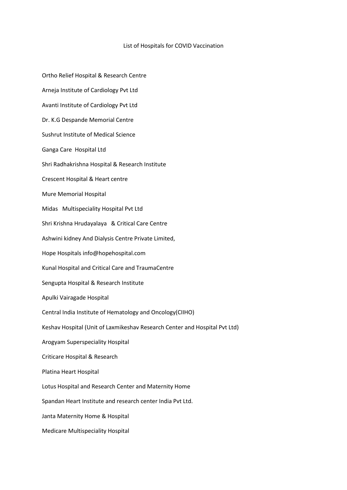## List of Hospitals for COVID Vaccination

Ortho Relief Hospital & Research Centre Arneja Institute of Cardiology Pvt Ltd Avanti Institute of Cardiology Pvt Ltd Dr. K.G Despande Memorial Centre Sushrut Institute of Medical Science Ganga Care Hospital Ltd Shri Radhakrishna Hospital & Research Institute Crescent Hospital & Heart centre Mure Memorial Hospital Midas Multispeciality Hospital Pvt Ltd Shri Krishna Hrudayalaya & Critical Care Centre Ashwini kidney And Dialysis Centre Private Limited, Hope Hospitals info@hopehospital.com Kunal Hospital and Critical Care and TraumaCentre Sengupta Hospital & Research Institute Apulki Vairagade Hospital Central India Institute of Hematology and Oncology(CIIHO) Keshav Hospital (Unit of Laxmikeshav Research Center and Hospital Pvt Ltd) Arogyam Superspeciality Hospital Criticare Hospital & Research Platina Heart Hospital Lotus Hospital and Research Center and Maternity Home Spandan Heart Institute and research center India Pvt Ltd. Janta Maternity Home & Hospital Medicare Multispeciality Hospital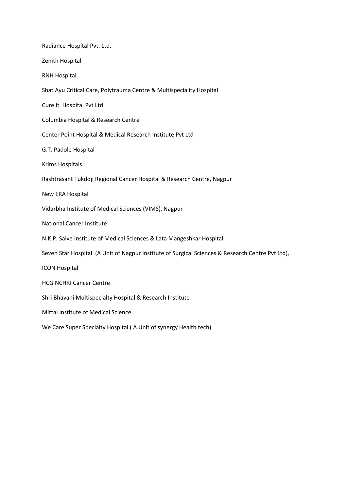| Radiance Hospital Pvt. Ltd.                                                                      |
|--------------------------------------------------------------------------------------------------|
| Zenith Hospital                                                                                  |
| <b>RNH Hospital</b>                                                                              |
| Shat Ayu Critical Care, Polytrauma Centre & Multispeciality Hospital                             |
| Cure It Hospital Pvt Ltd                                                                         |
| Columbia Hospital & Research Centre                                                              |
| Center Point Hospital & Medical Research Institute Pvt Ltd                                       |
| G.T. Padole Hospital                                                                             |
| Krims Hospitals                                                                                  |
| Rashtrasant Tukdoji Regional Cancer Hospital & Research Centre, Nagpur                           |
| New ERA Hospital                                                                                 |
| Vidarbha Institute of Medical Sciences (VIMS), Nagpur                                            |
| <b>National Cancer Institute</b>                                                                 |
| N.K.P. Salve Institute of Medical Sciences & Lata Mangeshkar Hospital                            |
| Seven Star Hospital (A Unit of Nagpur Institute of Surgical Sciences & Research Centre Pvt Ltd), |
| <b>ICON Hospital</b>                                                                             |
| <b>HCG NCHRI Cancer Centre</b>                                                                   |
| Shri Bhavani Multispecialty Hospital & Research Institute                                        |
| Mittal Institute of Medical Science                                                              |
| We Care Super Specialty Hospital (A Unit of synergy Health tech)                                 |